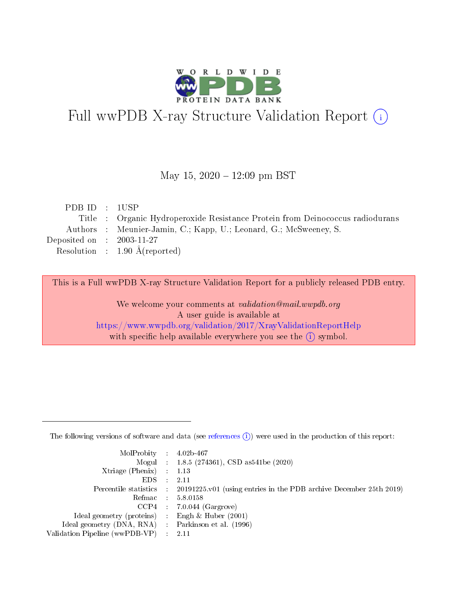

# Full wwPDB X-ray Structure Validation Report (i)

#### May 15,  $2020 - 12:09$  pm BST

| PDB ID : 1USP               |                                                                               |
|-----------------------------|-------------------------------------------------------------------------------|
|                             | Title : Organic Hydroperoxide Resistance Protein from Deinococcus radiodurans |
|                             | Authors : Meunier-Jamin, C.; Kapp, U.; Leonard, G.; McSweeney, S.             |
| Deposited on : $2003-11-27$ |                                                                               |
|                             | Resolution : $1.90 \text{ Å}$ (reported)                                      |
|                             |                                                                               |

This is a Full wwPDB X-ray Structure Validation Report for a publicly released PDB entry.

We welcome your comments at validation@mail.wwpdb.org A user guide is available at <https://www.wwpdb.org/validation/2017/XrayValidationReportHelp> with specific help available everywhere you see the  $(i)$  symbol.

The following versions of software and data (see [references](https://www.wwpdb.org/validation/2017/XrayValidationReportHelp#references)  $(1)$ ) were used in the production of this report:

| $MolProbability$ : 4.02b-467                        |                                                                                            |
|-----------------------------------------------------|--------------------------------------------------------------------------------------------|
|                                                     | Mogul : $1.8.5$ (274361), CSD as 541be (2020)                                              |
| Xtriage (Phenix) $: 1.13$                           |                                                                                            |
| EDS                                                 | -2.11                                                                                      |
|                                                     | Percentile statistics : 20191225.v01 (using entries in the PDB archive December 25th 2019) |
| Refmac 58.0158                                      |                                                                                            |
|                                                     | $CCP4$ 7.0.044 (Gargrove)                                                                  |
| Ideal geometry (proteins) : Engh $\&$ Huber (2001)  |                                                                                            |
| Ideal geometry (DNA, RNA) : Parkinson et al. (1996) |                                                                                            |
| Validation Pipeline (wwPDB-VP) : 2.11               |                                                                                            |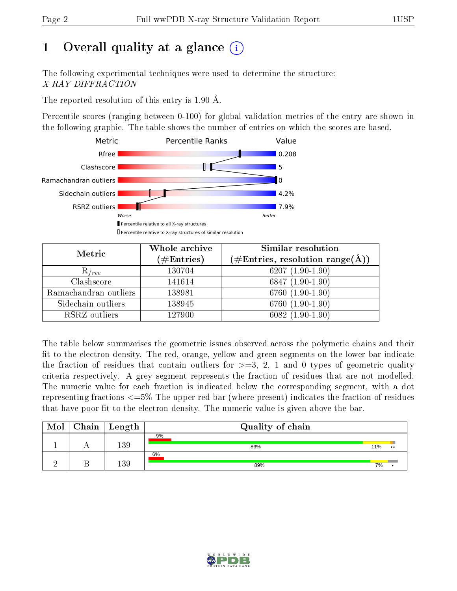## 1 [O](https://www.wwpdb.org/validation/2017/XrayValidationReportHelp#overall_quality)verall quality at a glance  $(i)$

The following experimental techniques were used to determine the structure: X-RAY DIFFRACTION

The reported resolution of this entry is 1.90 Å.

Percentile scores (ranging between 0-100) for global validation metrics of the entry are shown in the following graphic. The table shows the number of entries on which the scores are based.



| Metric                | Whole archive<br>$(\#\mathrm{Entries})$ | Similar resolution<br>$(\#\text{Entries}, \text{resolution range}(\text{\AA}))$ |  |  |
|-----------------------|-----------------------------------------|---------------------------------------------------------------------------------|--|--|
| $R_{free}$            | 130704                                  | 6207 $(1.90-1.90)$                                                              |  |  |
| Clashscore            | 141614                                  | 6847 $(1.90-1.90)$                                                              |  |  |
| Ramachandran outliers | 138981                                  | $6760(1.90-1.90)$                                                               |  |  |
| Sidechain outliers    | 138945                                  | $6760(1.90-1.90)$                                                               |  |  |
| RSRZ outliers         | 127900                                  | $6082(1.90-1.90)$                                                               |  |  |

The table below summarises the geometric issues observed across the polymeric chains and their fit to the electron density. The red, orange, yellow and green segments on the lower bar indicate the fraction of residues that contain outliers for  $>=3, 2, 1$  and 0 types of geometric quality criteria respectively. A grey segment represents the fraction of residues that are not modelled. The numeric value for each fraction is indicated below the corresponding segment, with a dot representing fractions <=5% The upper red bar (where present) indicates the fraction of residues that have poor fit to the electron density. The numeric value is given above the bar.

| Mol | Chain | Length | Quality of chain |     |                  |  |
|-----|-------|--------|------------------|-----|------------------|--|
|     |       | 139    | 9%<br>86%        | 11% | $\bullet\bullet$ |  |
|     |       | 139    | 6%<br>89%        | 7%  |                  |  |

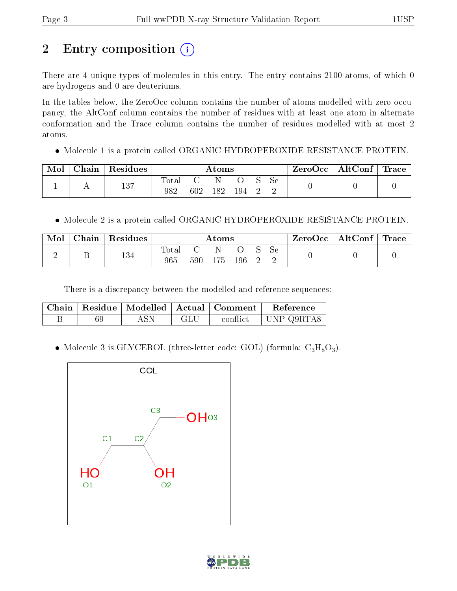# 2 Entry composition (i)

There are 4 unique types of molecules in this entry. The entry contains 2100 atoms, of which 0 are hydrogens and 0 are deuteriums.

In the tables below, the ZeroOcc column contains the number of atoms modelled with zero occupancy, the AltConf column contains the number of residues with at least one atom in alternate conformation and the Trace column contains the number of residues modelled with at most 2 atoms.

Molecule 1 is a protein called ORGANIC HYDROPEROXIDE RESISTANCE PROTEIN.

| Mol | Chain Residues | $\rm{Atoms}$ |     |     |     |  | $\text{ZeroOcc}$   AltConf   Trace |  |  |
|-----|----------------|--------------|-----|-----|-----|--|------------------------------------|--|--|
|     | 137            | Total<br>982 | 602 | 182 | 194 |  | <b>Se</b>                          |  |  |

Molecule 2 is a protein called ORGANIC HYDROPEROXIDE RESISTANCE PROTEIN.

| Mol | $\text{Chain}$ | Residues | $\rm{Atoms}$                    |     |      |     |  | ZeroOcc | $\vert$ AltConf $\vert$ | $^{\mathrm{+}}$ Trace |  |
|-----|----------------|----------|---------------------------------|-----|------|-----|--|---------|-------------------------|-----------------------|--|
| ↵   |                | 134      | $\mathbf{\tau}$<br>lotal<br>965 | 590 | l 75 | 196 |  | 5e      |                         |                       |  |

There is a discrepancy between the modelled and reference sequences:

|  |            |     | Chain   Residue   Modelled   Actual   Comment | Reference  |
|--|------------|-----|-----------------------------------------------|------------|
|  | <b>ASN</b> | GLU | conflict                                      | UNP Q9RTA8 |

• Molecule 3 is GLYCEROL (three-letter code: GOL) (formula:  $C_3H_8O_3$ ).



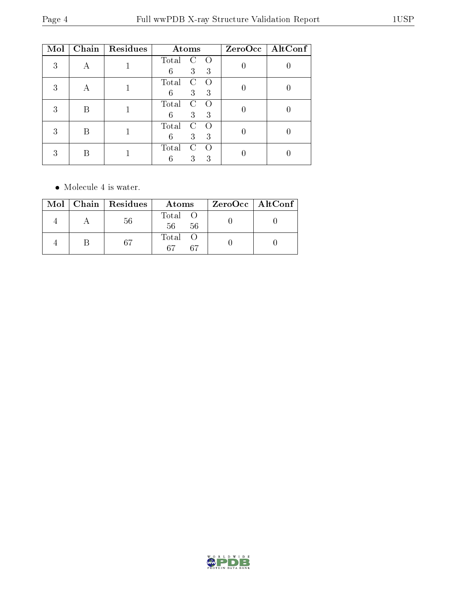| Mol |   | Chain Residues | Atoms                                                    | ZeroOcc   AltConf |
|-----|---|----------------|----------------------------------------------------------|-------------------|
| 3   |   |                | Total<br>$\left( \right)$<br>C<br>6<br>3<br>3            |                   |
| 3   |   |                | Total<br>$\rm C$<br>$\Omega$<br>3 <sup>1</sup><br>6<br>3 |                   |
| 3   | В |                | Total<br>$\left( \right)$<br>C<br>3<br>6<br>3            |                   |
| 3   | B |                | Total<br>C<br>$\left( \right)$<br>3<br>3<br>6            |                   |
|     |   |                | Total<br>C<br>3<br>3                                     |                   |

 $\bullet\,$  Molecule 4 is water.

|  | $Mol$   Chain   Residues | Atoms                | ZeroOcc   AltConf |
|--|--------------------------|----------------------|-------------------|
|  | 56                       | Total O<br>56<br>56  |                   |
|  | -67                      | Total O<br>67<br>-67 |                   |

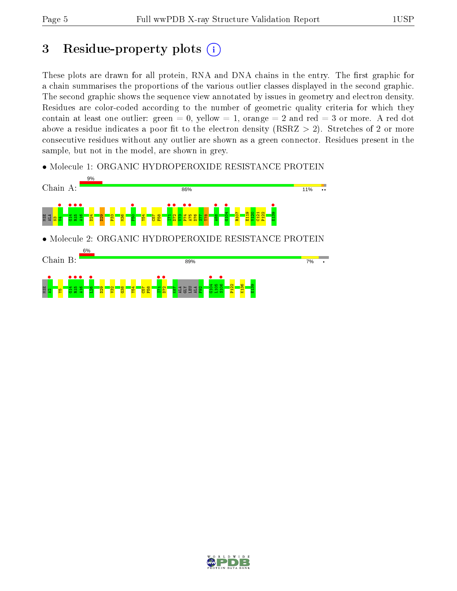## 3 Residue-property plots  $(i)$

These plots are drawn for all protein, RNA and DNA chains in the entry. The first graphic for a chain summarises the proportions of the various outlier classes displayed in the second graphic. The second graphic shows the sequence view annotated by issues in geometry and electron density. Residues are color-coded according to the number of geometric quality criteria for which they contain at least one outlier: green  $= 0$ , yellow  $= 1$ , orange  $= 2$  and red  $= 3$  or more. A red dot above a residue indicates a poor fit to the electron density (RSRZ  $> 2$ ). Stretches of 2 or more consecutive residues without any outlier are shown as a green connector. Residues present in the sample, but not in the model, are shown in grey.

• Molecule 1: ORGANIC HYDROPEROXIDE RESISTANCE PROTEIN



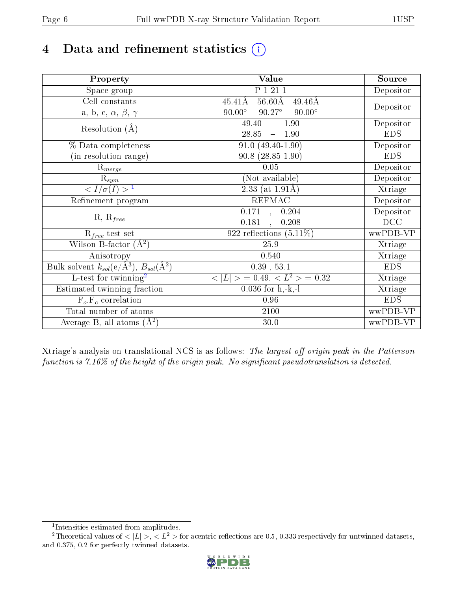# 4 Data and refinement statistics  $(i)$

| Property                                                             | Value                                                       | Source     |
|----------------------------------------------------------------------|-------------------------------------------------------------|------------|
| Space group                                                          | P 1 21 1                                                    | Depositor  |
| Cell constants                                                       | $56.60\text{\AA}$<br>$45.41\text{\AA}$<br>$49.46\text{\AA}$ | Depositor  |
| a, b, c, $\alpha$ , $\beta$ , $\gamma$                               | $90.00^\circ$<br>$90.27^\circ$<br>$90.00^\circ$             |            |
| Resolution $(A)$                                                     | 49.40<br>$-1.90$                                            | Depositor  |
|                                                                      | 28.85<br>$-1.90$                                            | <b>EDS</b> |
| % Data completeness                                                  | $91.0(49.40-1.90)$                                          | Depositor  |
| (in resolution range)                                                | $90.8(28.85-1.90)$                                          | <b>EDS</b> |
| $R_{merge}$                                                          | 0.05                                                        | Depositor  |
| $\mathrm{R}_{sym}$                                                   | (Not available)                                             | Depositor  |
| $\langle I/\sigma(I) \rangle^{-1}$                                   | 2.33 (at $1.91\text{\AA}$ )                                 | Xtriage    |
| Refinement program                                                   | <b>REFMAC</b>                                               | Depositor  |
|                                                                      | 0.171,<br>0.204                                             | Depositor  |
| $R, R_{free}$                                                        | 0.181<br>0.208                                              | DCC        |
| $R_{free}$ test set                                                  | 922 reflections $(5.11\%)$                                  | wwPDB-VP   |
| Wilson B-factor $(A^2)$                                              | 25.9                                                        | Xtriage    |
| Anisotropy                                                           | 0.540                                                       | Xtriage    |
| Bulk solvent $k_{sol}(e/\mathring{A}^3)$ , $B_{sol}(\mathring{A}^2)$ | $0.39$ , $53.1$                                             | <b>EDS</b> |
| L-test for twinning <sup>2</sup>                                     | $< L >$ = 0.49, $< L2$ > = 0.32                             | Xtriage    |
| Estimated twinning fraction                                          | $0.036$ for h,-k,-l                                         | Xtriage    |
| $F_o, F_c$ correlation                                               | 0.96                                                        | <b>EDS</b> |
| Total number of atoms                                                | 2100                                                        | wwPDB-VP   |
| Average B, all atoms $(A^2)$                                         | 30.0                                                        | wwPDB-VP   |

Xtriage's analysis on translational NCS is as follows: The largest off-origin peak in the Patterson function is  $7.16\%$  of the height of the origin peak. No significant pseudotranslation is detected.

<sup>&</sup>lt;sup>2</sup>Theoretical values of  $\langle |L| \rangle$ ,  $\langle L^2 \rangle$  for acentric reflections are 0.5, 0.333 respectively for untwinned datasets, and 0.375, 0.2 for perfectly twinned datasets.



<span id="page-5-1"></span><span id="page-5-0"></span><sup>1</sup> Intensities estimated from amplitudes.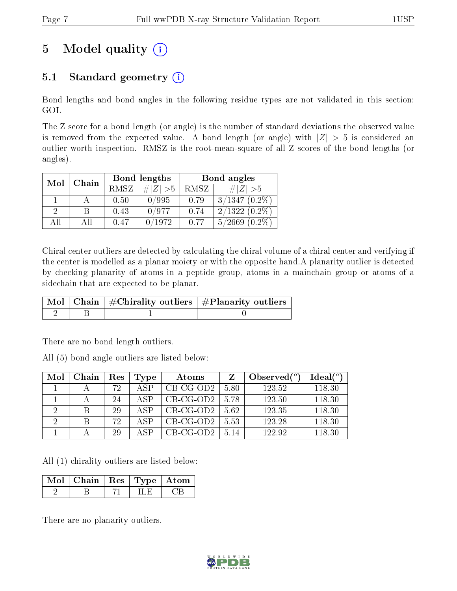## 5 Model quality  $(i)$

## 5.1 Standard geometry  $(i)$

Bond lengths and bond angles in the following residue types are not validated in this section: GOL

The Z score for a bond length (or angle) is the number of standard deviations the observed value is removed from the expected value. A bond length (or angle) with  $|Z| > 5$  is considered an outlier worth inspection. RMSZ is the root-mean-square of all Z scores of the bond lengths (or angles).

| Mol | Chain |      | Bond lengths | Bond angles |                     |  |
|-----|-------|------|--------------|-------------|---------------------|--|
|     |       | RMSZ | $\ Z\  > 5$  | RMSZ        | $\# Z  > 5$         |  |
|     |       | 0.50 | 0/995        | 0.79        | $3/1347(0.2\%)$     |  |
| 2   | R     | 0.43 | 0/977        | 0.74        | $2/1322(0.2\%)$     |  |
| ΑH  | ΑH    | 0.47 | 0/1972       | 0.77        | 5/2669<br>$(0.2\%)$ |  |

Chiral center outliers are detected by calculating the chiral volume of a chiral center and verifying if the center is modelled as a planar moiety or with the opposite hand.A planarity outlier is detected by checking planarity of atoms in a peptide group, atoms in a mainchain group or atoms of a sidechain that are expected to be planar.

|  | $\mid$ Mol $\mid$ Chain $\mid$ #Chirality outliers $\mid$ #Planarity outliers $'$ |
|--|-----------------------------------------------------------------------------------|
|  |                                                                                   |

There are no bond length outliers.

All (5) bond angle outliers are listed below:

| Mol | Chain | Res | Type           | Atoms       |      | Observed $(°)$ | Ideal(°) |
|-----|-------|-----|----------------|-------------|------|----------------|----------|
|     |       | 72  | A SP           | $CB-CG-OD2$ | 5.80 | 123.52         | 118.30   |
|     |       | 24  | A SP           | $CB-CG-OD2$ | 5.78 | 123.50         | 118.30   |
| റ   |       | 29  | A SP           | $CB-CG-OD2$ | 5.62 | 123.35         | 118.30   |
| റ   |       | 72  | A SP           | $CB-CG-OD2$ | 5.53 | 123.28         | 118.30   |
|     |       | 29  | $\triangle$ SP | $CB-CG-OD2$ | 5.14 | 122.92         | 118.30   |

All (1) chirality outliers are listed below:

| Mol   Chain   Res   Type   Atom |  |  |
|---------------------------------|--|--|
|                                 |  |  |

There are no planarity outliers.

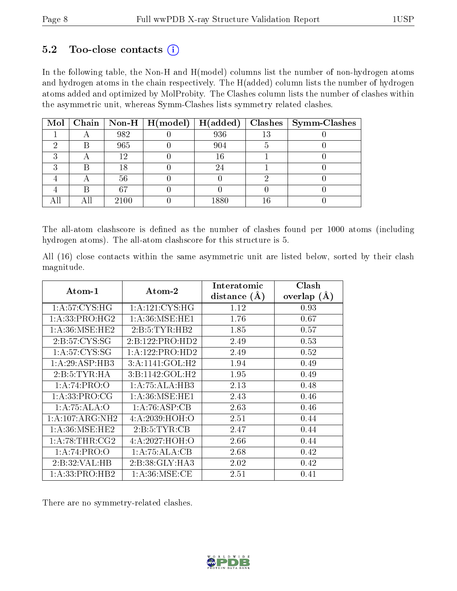### 5.2 Too-close contacts  $(i)$

In the following table, the Non-H and H(model) columns list the number of non-hydrogen atoms and hydrogen atoms in the chain respectively. The H(added) column lists the number of hydrogen atoms added and optimized by MolProbity. The Clashes column lists the number of clashes within the asymmetric unit, whereas Symm-Clashes lists symmetry related clashes.

|  |      | Mol   Chain   Non-H   H(model)   H(added) |      |    | $\boldsymbol{\mathrm{Class}} \mid \boldsymbol{\mathrm{Symm\text{-}Class}}$ |
|--|------|-------------------------------------------|------|----|----------------------------------------------------------------------------|
|  | 982  |                                           | 936  | 13 |                                                                            |
|  | 965  |                                           | 904  |    |                                                                            |
|  | 19   |                                           | 16   |    |                                                                            |
|  |      |                                           |      |    |                                                                            |
|  | 56   |                                           |      |    |                                                                            |
|  | 67   |                                           |      |    |                                                                            |
|  | 2100 |                                           | 1880 |    |                                                                            |

The all-atom clashscore is defined as the number of clashes found per 1000 atoms (including hydrogen atoms). The all-atom clashscore for this structure is 5.

All (16) close contacts within the same asymmetric unit are listed below, sorted by their clash magnitude.

| Atom-1            | Atom-2            | Interatomic    | Clash         |
|-------------------|-------------------|----------------|---------------|
|                   |                   | distance $(A)$ | overlap $(A)$ |
| 1: A:57: CYS:HG   | 1: A:121: CYS:HG  | 1.12           | 0.93          |
| 1:A:33:PRO:HG2    | 1: A:36: MSE: HE1 | 1.76           | 0.67          |
| 1: A:36: MSE:HE2  | 2: B: 5: TYR: HB2 | 1.85           | 0.57          |
| 2:B:57:CYS:SG     | 2:B:122:PRO:HD2   | 2.49           | 0.53          |
| 1: A:57: CYS:SG   | 1:A:122:PRO:HD2   | 2.49           | 0.52          |
| 1: A:29: ASP:HB3  | 3:A:1141:GOL:H2   | 1.94           | 0.49          |
| 2:B:5:TYR:HA      | 3:B:1142:GOL:H2   | 1.95           | 0.49          |
| 1:A:74:PRO:O      | 1:A:75:ALA:HB3    | 2.13           | 0.48          |
| 1: A: 33: PRO: CG | 1: A:36: MSE: HE1 | 2.43           | 0.46          |
| 1:A:75:ALA:O      | 1: A:76: ASP:CB   | 2.63           | 0.46          |
| 1:A:107:ARG:NH2   | 4: A: 2039: HOH:O | 2.51           | 0.44          |
| 1: A:36: MSE:HE2  | 2: B: 5: TYR: CB  | 2.47           | 0.44          |
| 1: A:78:THR:CG2   | 4: A: 2027: HOH:O | 2.66           | 0.44          |
| 1:A:74:PRO:O      | 1:A:75:ALA:CB     | 2.68           | 0.42          |
| 2:B:32:VAL:HB     | 2:B:38:GLY:HA3    | 2.02           | 0.42          |
| 1:A:33:PRO:HB2    | 1: A:36:MSE:CE    | 2.51           | 0.41          |

There are no symmetry-related clashes.

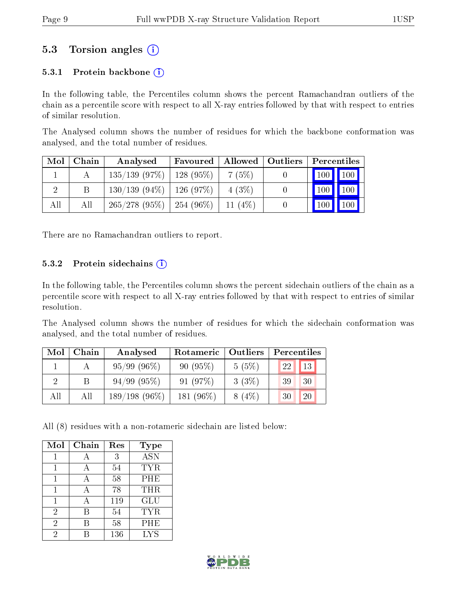### 5.3 Torsion angles (i)

#### 5.3.1 Protein backbone  $(i)$

In the following table, the Percentiles column shows the percent Ramachandran outliers of the chain as a percentile score with respect to all X-ray entries followed by that with respect to entries of similar resolution.

The Analysed column shows the number of residues for which the backbone conformation was analysed, and the total number of residues.

| Mol | Chain | Analysed                      | Favoured          | Allowed   | Outliers | Percentiles         |               |
|-----|-------|-------------------------------|-------------------|-----------|----------|---------------------|---------------|
|     |       | $135/139$ (97\%)   128 (95\%) |                   | 7(5%)     |          | $\vert$ 100 $\vert$ | $\boxed{100}$ |
|     | В     | $130/139(94\%)$               | $\perp$ 126 (97%) | 4(3%)     |          | 100                 | 100           |
| All | Аll   | $265/278$ (95\%)   254 (96\%) |                   | 11 $(4%)$ |          | 100                 |               |

There are no Ramachandran outliers to report.

#### 5.3.2 Protein sidechains  $(i)$

In the following table, the Percentiles column shows the percent sidechain outliers of the chain as a percentile score with respect to all X-ray entries followed by that with respect to entries of similar resolution.

The Analysed column shows the number of residues for which the sidechain conformation was analysed, and the total number of residues.

| Mol | Chain | Analysed         | Rotameric | Outliers | Percentiles |
|-----|-------|------------------|-----------|----------|-------------|
|     |       | 95/99(96%)       | 90(95%)   | 5(5%)    | 13<br>22    |
|     |       | $94/99$ $(95\%)$ | 91(97%)   | 3(3%)    | 30<br>39    |
| All | Αll   | $189/198(96\%)$  | 181 (96%) | $8(4\%)$ | 20<br>30    |

All (8) residues with a non-rotameric sidechain are listed below:

| Mol            | Chain | Res | Type             |
|----------------|-------|-----|------------------|
|                |       | 3   | $\overline{ASN}$ |
| 1              |       | 54  | <b>TYR</b>       |
|                |       | 58  | PHE              |
|                |       | 78  | THR              |
|                |       | 119 | GLU              |
| $\overline{2}$ | B     | 54  | <b>TYR</b>       |
| $\overline{2}$ | В     | 58  | PHE              |
| 2              |       | 136 | <b>LYS</b>       |

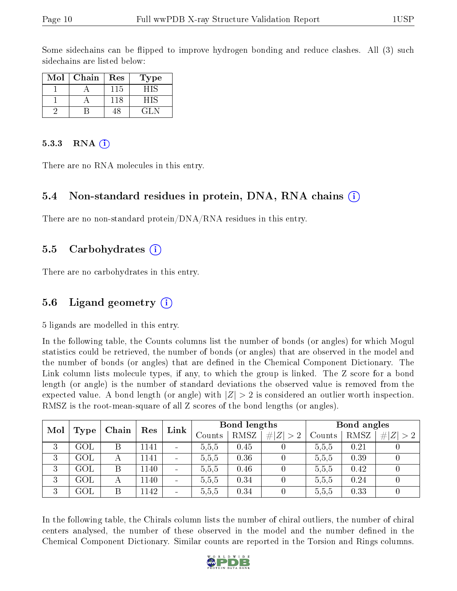Some sidechains can be flipped to improve hydrogen bonding and reduce clashes. All (3) such sidechains are listed below:

| $\operatorname{Mol}$ | Chain | $\operatorname{Res}% \left( \mathcal{N}\right) \equiv\operatorname{Res}(\mathcal{N}_{0})\cap\mathcal{N}_{1}$ | Type |
|----------------------|-------|--------------------------------------------------------------------------------------------------------------|------|
|                      |       | 115                                                                                                          |      |
|                      |       | 118                                                                                                          |      |
|                      |       |                                                                                                              | 21.  |

#### 5.3.3 RNA $(i)$

There are no RNA molecules in this entry.

#### 5.4 Non-standard residues in protein, DNA, RNA chains (i)

There are no non-standard protein/DNA/RNA residues in this entry.

#### 5.5 Carbohydrates (i)

There are no carbohydrates in this entry.

### 5.6 Ligand geometry (i)

5 ligands are modelled in this entry.

In the following table, the Counts columns list the number of bonds (or angles) for which Mogul statistics could be retrieved, the number of bonds (or angles) that are observed in the model and the number of bonds (or angles) that are defined in the Chemical Component Dictionary. The Link column lists molecule types, if any, to which the group is linked. The Z score for a bond length (or angle) is the number of standard deviations the observed value is removed from the expected value. A bond length (or angle) with  $|Z| > 2$  is considered an outlier worth inspection. RMSZ is the root-mean-square of all Z scores of the bond lengths (or angles).

|     |            |       |      |                |        | Bond lengths |             |        | Bond angles |                               |
|-----|------------|-------|------|----------------|--------|--------------|-------------|--------|-------------|-------------------------------|
| Mol | Type       | Chain | Res  | Link           | Counts | RMSZ         | # $ Z  > 2$ | Counts | RMSZ        | #<br> Z <br>$\vert > 2 \vert$ |
| 3   | GOL        | Β     | 1141 | $\sim$         | 5,5,5  | 0.45         |             | 5.5,5  | 0.21        |                               |
| 3   | GOL        | А     | 1141 | $\blacksquare$ | 5,5,5  | 0.36         |             | 5,5,5  | 0.39        |                               |
| 3   | $\rm GOL$  | Β     | 1140 | $\sim$         | 5,5,5  | 0.46         |             | 5,5,5  | 0.42        |                               |
| 3   | GOL        | А     | 1140 |                | 5.5,5  | 0.34         |             | 5.5,5  | 0.24        |                               |
| 3   | <b>GOL</b> | Β     | 1142 | $\sim$         | 5,5,5  | 0.34         |             | 5,5,5  | 0.33        |                               |

In the following table, the Chirals column lists the number of chiral outliers, the number of chiral centers analysed, the number of these observed in the model and the number defined in the Chemical Component Dictionary. Similar counts are reported in the Torsion and Rings columns.

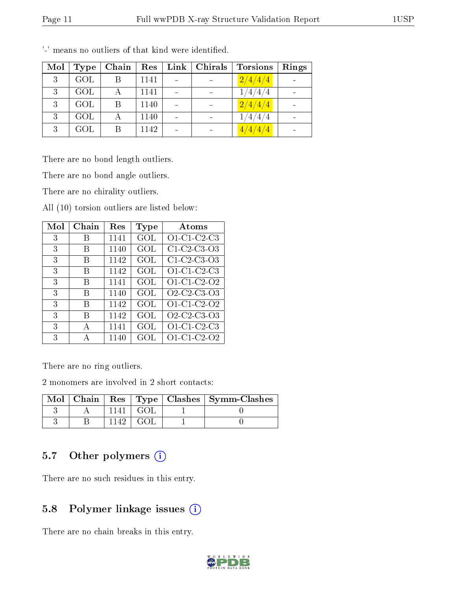| Mol | Type       | Chain | Res  | Link | Chirals | Torsions         | Rings |
|-----|------------|-------|------|------|---------|------------------|-------|
| 3   | <b>GOL</b> |       | 1141 |      |         | $\sqrt{2/4/4/4}$ |       |
| 3   | GOL        |       | 1141 |      |         | 1/4/4/4          |       |
| 3   | <b>GOL</b> |       | 1140 |      |         | $\sqrt{2/4/4/4}$ |       |
| ર   | <b>GOL</b> |       | 1140 |      |         | 1/4/4/4          |       |
| 3   | <b>GOL</b> | B     | 1142 |      |         | 4/4/4/4          |       |

'-' means no outliers of that kind were identified.

There are no bond length outliers.

There are no bond angle outliers.

There are no chirality outliers.

All (10) torsion outliers are listed below:

| Mol | Chain | Res  | Type | Atoms                                                          |
|-----|-------|------|------|----------------------------------------------------------------|
| 3   | B     | 1141 | GOL  | $O1-C1-C2-C3$                                                  |
| 3   | B     | 1140 | GOL  | $C1-C2-C3-O3$                                                  |
| 3   | В     | 1142 | GOL  | $C1$ -C <sub>2</sub> -C <sub>3</sub> -O <sub>3</sub>           |
| 3   | В     | 1142 | GOL  | $O1-C1-C2-C3$                                                  |
| 3   | В     | 1141 | GOL  | O1-C1-C2-O2                                                    |
| 3   | В     | 1140 | GOL  | O <sub>2</sub> -C <sub>2</sub> -C <sub>3</sub> -O <sub>3</sub> |
| 3   | В     | 1142 | GOL  | O1-C1-C2-O2                                                    |
| 3   | В     | 1142 | GOL  | O2-C2-C3-O3                                                    |
| 3   | А     | 1141 | GOL  | $O1-C1-C2-C3$                                                  |
| 3   | А     | 1140 | GOL  | O1-C1-C2-O2                                                    |

There are no ring outliers.

2 monomers are involved in 2 short contacts:

| $Mol$   Chain   $\overline{a}$ |       | Res   Type   Clashes   Symm-Clashes |
|--------------------------------|-------|-------------------------------------|
|                                | - GOL |                                     |
|                                | GOI.  |                                     |

## 5.7 [O](https://www.wwpdb.org/validation/2017/XrayValidationReportHelp#nonstandard_residues_and_ligands)ther polymers (i)

There are no such residues in this entry.

## 5.8 Polymer linkage issues (i)

There are no chain breaks in this entry.

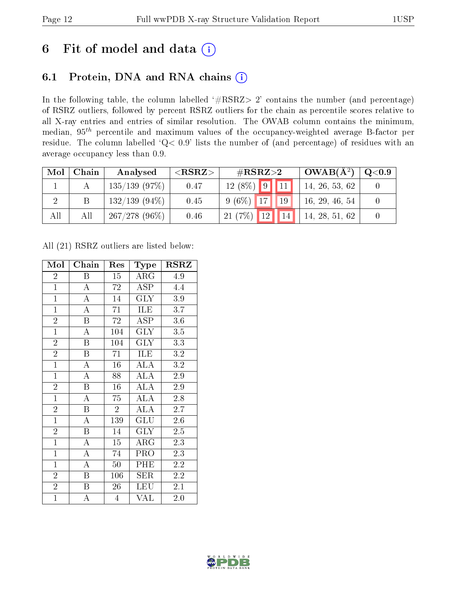## 6 Fit of model and data  $(i)$

## 6.1 Protein, DNA and RNA chains  $(i)$

In the following table, the column labelled  $#RSRZ> 2'$  contains the number (and percentage) of RSRZ outliers, followed by percent RSRZ outliers for the chain as percentile scores relative to all X-ray entries and entries of similar resolution. The OWAB column contains the minimum, median,  $95<sup>th</sup>$  percentile and maximum values of the occupancy-weighted average B-factor per residue. The column labelled ' $Q< 0.9$ ' lists the number of (and percentage) of residues with an average occupancy less than 0.9.

| Mol | Chain | Analysed         | ${ <\hspace{-1.5pt}{\mathrm{RSRZ}} \hspace{-1.5pt}>}$ | $\rm \#RSRZ{>}2$    | $OWAB(A^2)$    | $\rm Q\textcolor{black}{<}0.9$ |
|-----|-------|------------------|-------------------------------------------------------|---------------------|----------------|--------------------------------|
|     |       | $135/139$ (97\%) | 0.47                                                  | $12(8\%)$ 9 11      | 14, 26, 53, 62 |                                |
|     |       | $132/139(94\%)$  | 0.45                                                  | $9(6\%)$ 17<br>19   | 16, 29, 46, 54 |                                |
| All | All   | $267/278(96\%)$  | 0.46                                                  | 12 <br>21(7%)<br>14 | 14, 28, 51, 62 |                                |

All (21) RSRZ outliers are listed below:

| Mol            | Chain                   | Res            | Type                    | <b>RSRZ</b>      |
|----------------|-------------------------|----------------|-------------------------|------------------|
| $\overline{2}$ | B                       | 15             | $\rm{ARG}$              | 4.9              |
| $\overline{1}$ | $\overline{\rm A}$      | 72             | ASP                     | 4.4              |
| $\overline{1}$ | $\overline{A}$          | 14             | $\overline{\text{GLY}}$ | 3.9              |
| $\mathbf{1}$   | $\overline{\rm A}$      | 71             | ILE                     | 3.7              |
| $\overline{2}$ | $\mathbf{B}$            | 72             | ASP                     | 3.6              |
| $\overline{1}$ | $\overline{\rm A}$      | 104            | <b>GLY</b>              | 3.5              |
| $\overline{2}$ | $\boldsymbol{B}$        | 104            | <b>GLY</b>              | 3.3              |
| $\overline{2}$ | $\overline{B}$          | 71             | ILE                     | 3.2              |
| $\overline{1}$ | $\overline{\rm A}$      | 16             | <b>ALA</b>              | 3.2              |
| $\overline{1}$ | $\overline{A}$          | 88             | $\overline{\rm ALA}$    | $\overline{2.9}$ |
| $\overline{2}$ | $\boldsymbol{B}$        | 16             | <b>ALA</b>              | 2.9              |
| $\overline{1}$ | $\overline{\rm A}$      | 75             | $\overline{\rm ALA}$    | 2.8              |
| $\overline{2}$ | $\overline{B}$          | $\overline{2}$ | $\overline{\rm ALA}$    | 2.7              |
| $\mathbf{1}$   | $\overline{\rm A}$      | 139            | GLU                     | 2.6              |
| $\overline{2}$ | $\overline{\mathrm{B}}$ | 14             | $\rm GLY$               | $2.5\,$          |
| $\mathbf{1}$   | $\bf{A}$                | 15             | $\rm{ARG}$              | 2.3              |
| $\overline{1}$ | $\overline{\rm A}$      | 74             | PRO                     | 2.3              |
| $\mathbf{1}$   | $\overline{\rm A}$      | 50             | PHE                     | 2.2              |
| $\overline{2}$ | $\overline{B}$          | 106            | SER                     | $2.2\,$          |
| $\overline{2}$ | $\boldsymbol{B}$        | $26\,$         | <b>LEU</b>              | 2.1              |
| $\mathbf{1}$   | A                       | $\overline{4}$ | VAL                     | 2.0              |